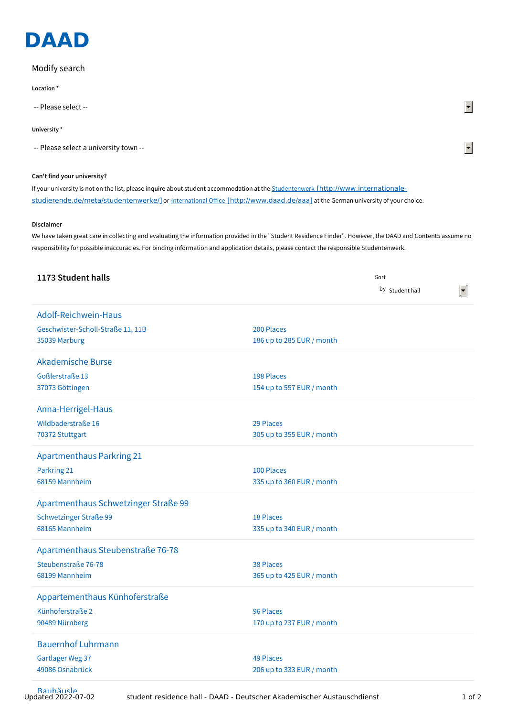

## Modify search

**Location \***

-- Please select --

## **University \***

-- Please select a university town --

## **Can't find your university?**

If your university is not on the list, please inquire about student accommodation at the Studentenwerk [http://www.internationale[studierende.de/meta/studentenwerke/\]](http://www.internationale-studierende.de/meta/studentenwerke/) or International Office [\[http://www.daad.de/aaa\]](http://www.daad.de/aaa) at the German university of your choice.

## **Disclaimer**

We have taken great care in collecting and evaluating the information provided in the "Student Residence Finder". However, the DAAD and Content5 assume no responsibility for possible inaccuracies. For binding information and application details, please contact the responsible Studentenwerk.

| 1173 Student halls                   |                           | Sort            |  |
|--------------------------------------|---------------------------|-----------------|--|
|                                      |                           | by Student hall |  |
| Adolf-Reichwein-Haus                 |                           |                 |  |
| Geschwister-Scholl-Straße 11, 11B    | 200 Places                |                 |  |
| 35039 Marburg                        | 186 up to 285 EUR / month |                 |  |
| <b>Akademische Burse</b>             |                           |                 |  |
| <b>Goßlerstraße 13</b>               | 198 Places                |                 |  |
| 37073 Göttingen                      | 154 up to 557 EUR / month |                 |  |
| Anna-Herrigel-Haus                   |                           |                 |  |
| Wildbaderstraße 16                   | 29 Places                 |                 |  |
| 70372 Stuttgart                      | 305 up to 355 EUR / month |                 |  |
| <b>Apartmenthaus Parkring 21</b>     |                           |                 |  |
| Parkring 21                          | 100 Places                |                 |  |
| 68159 Mannheim                       | 335 up to 360 EUR / month |                 |  |
| Apartmenthaus Schwetzinger Straße 99 |                           |                 |  |
| <b>Schwetzinger Straße 99</b>        | 18 Places                 |                 |  |
| 68165 Mannheim                       | 335 up to 340 EUR / month |                 |  |
| Apartmenthaus Steubenstraße 76-78    |                           |                 |  |
| Steubenstraße 76-78                  | 38 Places                 |                 |  |
| 68199 Mannheim                       | 365 up to 425 EUR / month |                 |  |
| Appartementhaus Künhoferstraße       |                           |                 |  |
| Künhoferstraße 2                     | 96 Places                 |                 |  |
| 90489 Nürnberg                       | 170 up to 237 EUR / month |                 |  |
| <b>Bauernhof Luhrmann</b>            |                           |                 |  |
| <b>Gartlager Weg 37</b>              | <b>49 Places</b>          |                 |  |
| 49086 Osnabrück                      | 206 up to 333 EUR / month |                 |  |
|                                      |                           |                 |  |

 $\blacktriangledown$ 

 $\blacktriangledown$